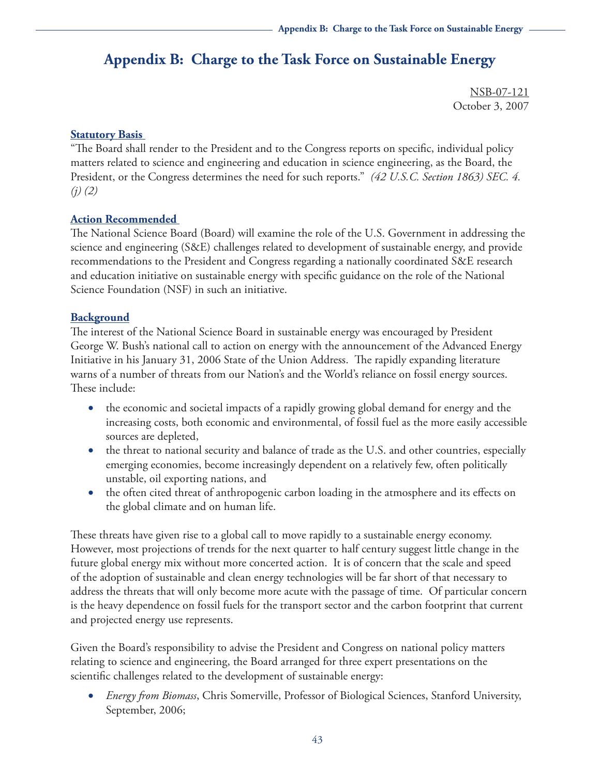# **Appendix B: Charge to the Task Force on Sustainable Energy**

NSB-07-121 October 3, 2007

## **Statutory Basis**

"The Board shall render to the President and to the Congress reports on specific, individual policy matters related to science and engineering and education in science engineering, as the Board, the President, or the Congress determines the need for such reports." *(42 U.S.C. Section 1863) SEC. 4. (j) (2)*

# **Action Recommended**

The National Science Board (Board) will examine the role of the U.S. Government in addressing the science and engineering (S&E) challenges related to development of sustainable energy, and provide recommendations to the President and Congress regarding a nationally coordinated S&E research and education initiative on sustainable energy with specific guidance on the role of the National Science Foundation (NSF) in such an initiative.

# **Background**

The interest of the National Science Board in sustainable energy was encouraged by President George W. Bush's national call to action on energy with the announcement of the Advanced Energy Initiative in his January 31, 2006 State of the Union Address. The rapidly expanding literature warns of a number of threats from our Nation's and the World's reliance on fossil energy sources. These include:

- the economic and societal impacts of a rapidly growing global demand for energy and the increasing costs, both economic and environmental, of fossil fuel as the more easily accessible sources are depleted,
- the threat to national security and balance of trade as the U.S. and other countries, especially emerging economies, become increasingly dependent on a relatively few, often politically unstable, oil exporting nations, and
- the often cited threat of anthropogenic carbon loading in the atmosphere and its effects on the global climate and on human life.

These threats have given rise to a global call to move rapidly to a sustainable energy economy. However, most projections of trends for the next quarter to half century suggest little change in the future global energy mix without more concerted action. It is of concern that the scale and speed of the adoption of sustainable and clean energy technologies will be far short of that necessary to address the threats that will only become more acute with the passage of time. Of particular concern is the heavy dependence on fossil fuels for the transport sector and the carbon footprint that current and projected energy use represents.

Given the Board's responsibility to advise the President and Congress on national policy matters relating to science and engineering, the Board arranged for three expert presentations on the scientific challenges related to the development of sustainable energy:

• *Energy from Biomass*, Chris Somerville, Professor of Biological Sciences, Stanford University, September, 2006;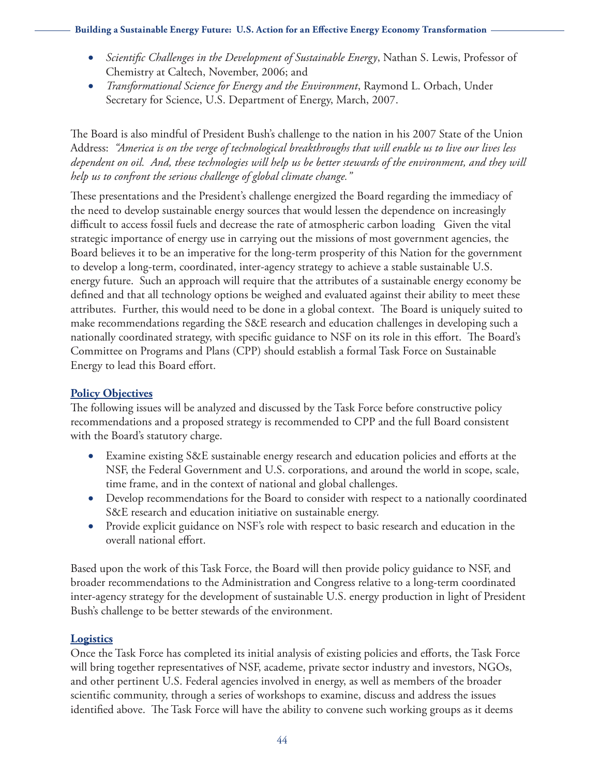#### **Building a Sustainable Energy Future: U.S. Action for an Effective Energy Economy Transformation**

- • *Scientific Challenges in the Development of Sustainable Energy*, Nathan S. Lewis, Professor of Chemistry at Caltech, November, 2006; and
- • *Transformational Science for Energy and the Environment*, Raymond L. Orbach, Under Secretary for Science, U.S. Department of Energy, March, 2007.

The Board is also mindful of President Bush's challenge to the nation in his 2007 State of the Union Address: *"America is on the verge of technological breakthroughs that will enable us to live our lives less dependent on oil. And, these technologies will help us be better stewards of the environment, and they will help us to confront the serious challenge of global climate change."*

These presentations and the President's challenge energized the Board regarding the immediacy of the need to develop sustainable energy sources that would lessen the dependence on increasingly difficult to access fossil fuels and decrease the rate of atmospheric carbon loading Given the vital strategic importance of energy use in carrying out the missions of most government agencies, the Board believes it to be an imperative for the long-term prosperity of this Nation for the government to develop a long-term, coordinated, inter-agency strategy to achieve a stable sustainable U.S. energy future. Such an approach will require that the attributes of a sustainable energy economy be defined and that all technology options be weighed and evaluated against their ability to meet these attributes. Further, this would need to be done in a global context. The Board is uniquely suited to make recommendations regarding the S&E research and education challenges in developing such a nationally coordinated strategy, with specific guidance to NSF on its role in this effort. The Board's Committee on Programs and Plans (CPP) should establish a formal Task Force on Sustainable Energy to lead this Board effort.

#### **Policy Objectives**

The following issues will be analyzed and discussed by the Task Force before constructive policy recommendations and a proposed strategy is recommended to CPP and the full Board consistent with the Board's statutory charge.

- Examine existing S&E sustainable energy research and education policies and efforts at the NSF, the Federal Government and U.S. corporations, and around the world in scope, scale, time frame, and in the context of national and global challenges.
- Develop recommendations for the Board to consider with respect to a nationally coordinated S&E research and education initiative on sustainable energy.
- • Provide explicit guidance on NSF's role with respect to basic research and education in the overall national effort.

Based upon the work of this Task Force, the Board will then provide policy guidance to NSF, and broader recommendations to the Administration and Congress relative to a long-term coordinated inter-agency strategy for the development of sustainable U.S. energy production in light of President Bush's challenge to be better stewards of the environment.

### **Logistics**

Once the Task Force has completed its initial analysis of existing policies and efforts, the Task Force will bring together representatives of NSF, academe, private sector industry and investors, NGOs, and other pertinent U.S. Federal agencies involved in energy, as well as members of the broader scientific community, through a series of workshops to examine, discuss and address the issues identified above. The Task Force will have the ability to convene such working groups as it deems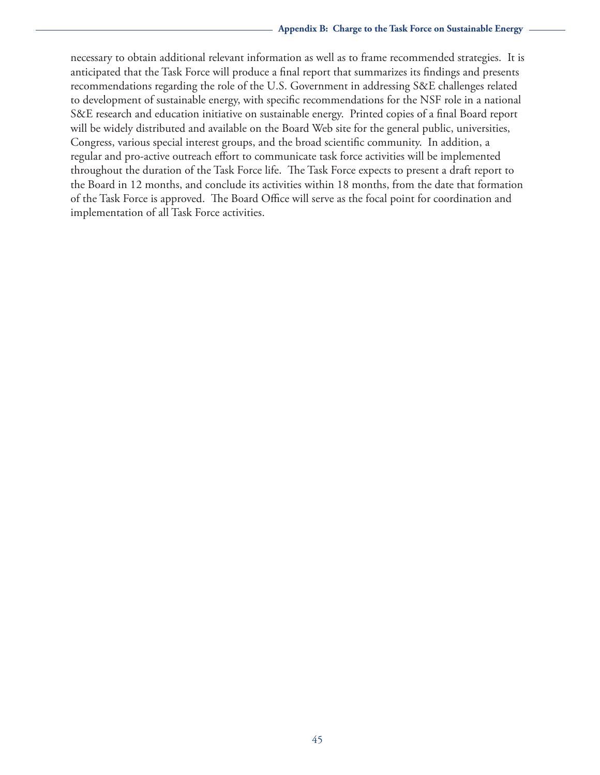necessary to obtain additional relevant information as well as to frame recommended strategies. It is anticipated that the Task Force will produce a final report that summarizes its findings and presents recommendations regarding the role of the U.S. Government in addressing S&E challenges related to development of sustainable energy, with specific recommendations for the NSF role in a national S&E research and education initiative on sustainable energy. Printed copies of a final Board report will be widely distributed and available on the Board Web site for the general public, universities, Congress, various special interest groups, and the broad scientific community. In addition, a regular and pro-active outreach effort to communicate task force activities will be implemented throughout the duration of the Task Force life. The Task Force expects to present a draft report to the Board in 12 months, and conclude its activities within 18 months, from the date that formation of the Task Force is approved. The Board Office will serve as the focal point for coordination and implementation of all Task Force activities.